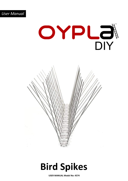



## **Bird Spikes**

**USER MANUAL Model No: 4574**